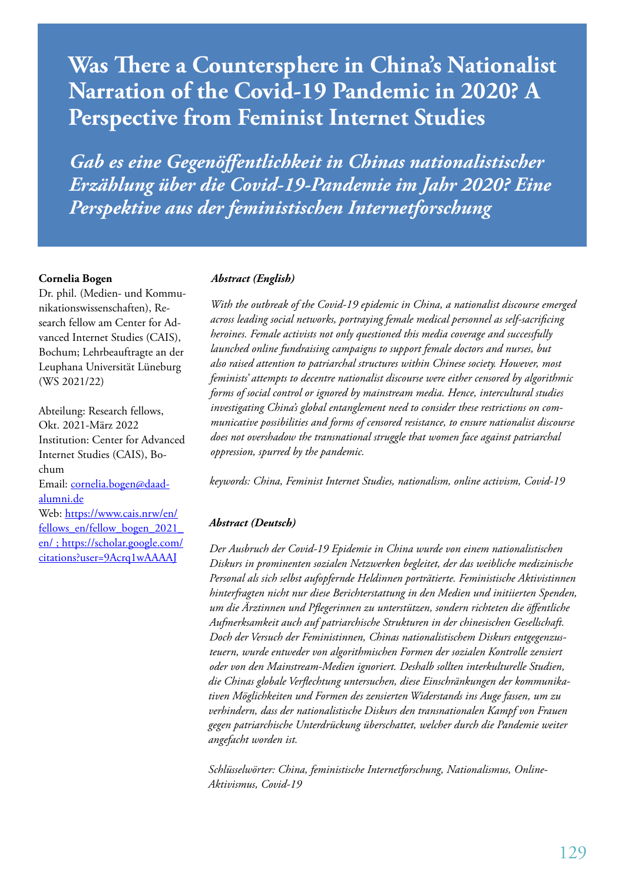# **Was There a Countersphere in China's Nationalist Narration of the Covid-19 Pandemic in 2020? A Perspective from Feminist Internet Studies**

*Gab es eine Gegenöffentlichkeit in Chinas nationalistischer Erzählung über die Covid-19-Pandemie im Jahr 2020? Eine Perspektive aus der feministischen Internetforschung*

#### **Cornelia Bogen**

Dr. phil. (Medien- und Kommunikationswissenschaften), Research fellow am Center for Advanced Internet Studies (CAIS), Bochum; Lehrbeauftragte an der Leuphana Universität Lüneburg (WS 2021/22)

Abteilung: Research fellows, Okt. 2021-März 2022 Institution: Center for Advanced Internet Studies (CAIS), Bochum Email: cornelia.bogen@daadalumni.de Web: https://www.cais.nrw/en/ fellows\_en/fellow\_bogen\_2021\_ en/ ; https://scholar.google.com/ citations?user=9Acrq1wAAAAJ

#### *Abstract (English)*

*With the outbreak of the Covid-19 epidemic in China, a nationalist discourse emerged across leading social networks, portraying female medical personnel as self-sacrificing heroines. Female activists not only questioned this media coverage and successfully launched online fundraising campaigns to support female doctors and nurses, but also raised attention to patriarchal structures within Chinese society. However, most feminists' attempts to decentre nationalist discourse were either censored by algorithmic forms of social control or ignored by mainstream media. Hence, intercultural studies investigating China's global entanglement need to consider these restrictions on communicative possibilities and forms of censored resistance, to ensure nationalist discourse does not overshadow the transnational struggle that women face against patriarchal oppression, spurred by the pandemic.* 

*keywords: China, Feminist Internet Studies, nationalism, online activism, Covid-19*

#### *Abstract (Deutsch)*

*Der Ausbruch der Covid-19 Epidemie in China wurde von einem nationalistischen Diskurs in prominenten sozialen Netzwerken begleitet, der das weibliche medizinische Personal als sich selbst aufopfernde Heldinnen porträtierte. Feministische Aktivistinnen hinterfragten nicht nur diese Berichterstattung in den Medien und initiierten Spenden, um die Ärztinnen und Pflegerinnen zu unterstützen, sondern richteten die öffentliche Aufmerksamkeit auch auf patriarchische Strukturen in der chinesischen Gesellschaft. Doch der Versuch der Feministinnen, Chinas nationalistischem Diskurs entgegenzusteuern, wurde entweder von algorithmischen Formen der sozialen Kontrolle zensiert oder von den Mainstream-Medien ignoriert. Deshalb sollten interkulturelle Studien, die Chinas globale Verflechtung untersuchen, diese Einschränkungen der kommunikativen Möglichkeiten und Formen des zensierten Widerstands ins Auge fassen, um zu verhindern, dass der nationalistische Diskurs den transnationalen Kampf von Frauen gegen patriarchische Unterdrückung überschattet, welcher durch die Pandemie weiter angefacht worden ist.* 

*Schlüsselwörter: China, feministische Internetforschung, Nationalismus, Online-Aktivismus, Covid-19*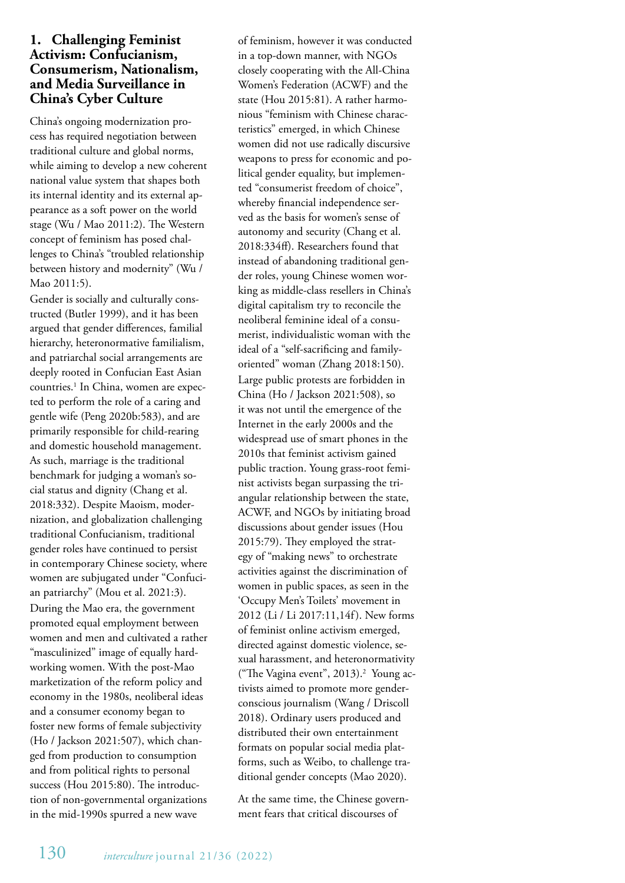# **1. Challenging Feminist Activism: Confucianism, Consumerism, Nationalism, and Media Surveillance in China's Cyber Culture**

China's ongoing modernization process has required negotiation between traditional culture and global norms, while aiming to develop a new coherent national value system that shapes both its internal identity and its external appearance as a soft power on the world stage (Wu / Mao 2011:2). The Western concept of feminism has posed challenges to China's "troubled relationship between history and modernity" (Wu / Mao 2011:5).

Gender is socially and culturally constructed (Butler 1999), and it has been argued that gender differences, familial hierarchy, heteronormative familialism, and patriarchal social arrangements are deeply rooted in Confucian East Asian countries.<sup>1</sup> In China, women are expected to perform the role of a caring and gentle wife (Peng 2020b:583), and are primarily responsible for child-rearing and domestic household management. As such, marriage is the traditional benchmark for judging a woman's social status and dignity (Chang et al. 2018:332). Despite Maoism, modernization, and globalization challenging traditional Confucianism, traditional gender roles have continued to persist in contemporary Chinese society, where women are subjugated under "Confucian patriarchy" (Mou et al. 2021:3). During the Mao era, the government promoted equal employment between women and men and cultivated a rather "masculinized" image of equally hardworking women. With the post-Mao marketization of the reform policy and economy in the 1980s, neoliberal ideas and a consumer economy began to foster new forms of female subjectivity (Ho / Jackson 2021:507), which changed from production to consumption and from political rights to personal success (Hou 2015:80). The introduction of non-governmental organizations in the mid-1990s spurred a new wave

of feminism, however it was conducted in a top-down manner, with NGOs closely cooperating with the All-China Women's Federation (ACWF) and the state (Hou 2015:81). A rather harmonious "feminism with Chinese characteristics" emerged, in which Chinese women did not use radically discursive weapons to press for economic and political gender equality, but implemented "consumerist freedom of choice", whereby financial independence served as the basis for women's sense of autonomy and security (Chang et al. 2018:334ff). Researchers found that instead of abandoning traditional gender roles, young Chinese women working as middle-class resellers in China's digital capitalism try to reconcile the neoliberal feminine ideal of a consumerist, individualistic woman with the ideal of a "self-sacrificing and familyoriented" woman (Zhang 2018:150). Large public protests are forbidden in China (Ho / Jackson 2021:508), so it was not until the emergence of the Internet in the early 2000s and the widespread use of smart phones in the 2010s that feminist activism gained public traction. Young grass-root feminist activists began surpassing the triangular relationship between the state, ACWF, and NGOs by initiating broad discussions about gender issues (Hou 2015:79). They employed the strategy of "making news" to orchestrate activities against the discrimination of women in public spaces, as seen in the 'Occupy Men's Toilets' movement in 2012 (Li / Li 2017:11,14f). New forms of feminist online activism emerged, directed against domestic violence, sexual harassment, and heteronormativity ("The Vagina event", 2013).<sup>2</sup> Young activists aimed to promote more genderconscious journalism (Wang / Driscoll 2018). Ordinary users produced and distributed their own entertainment formats on popular social media platforms, such as Weibo, to challenge traditional gender concepts (Mao 2020).

At the same time, the Chinese government fears that critical discourses of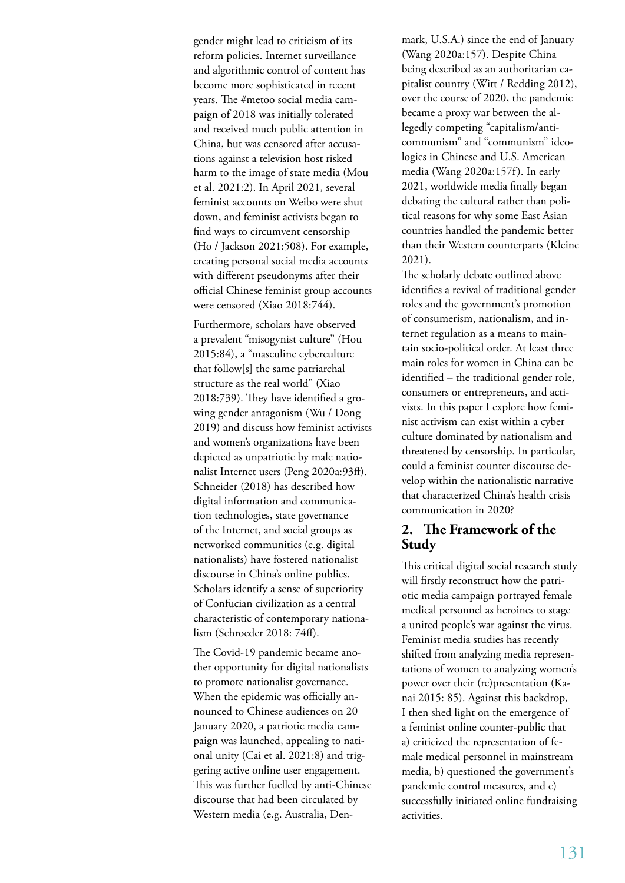gender might lead to criticism of its reform policies. Internet surveillance and algorithmic control of content has become more sophisticated in recent years. The #metoo social media campaign of 2018 was initially tolerated and received much public attention in China, but was censored after accusations against a television host risked harm to the image of state media (Mou et al. 2021:2). In April 2021, several feminist accounts on Weibo were shut down, and feminist activists began to find ways to circumvent censorship (Ho / Jackson 2021:508). For example, creating personal social media accounts with different pseudonyms after their official Chinese feminist group accounts were censored (Xiao 2018:744).

Furthermore, scholars have observed a prevalent "misogynist culture" (Hou 2015:84), a "masculine cyberculture that follow[s] the same patriarchal structure as the real world" (Xiao 2018:739). They have identified a growing gender antagonism (Wu / Dong 2019) and discuss how feminist activists and women's organizations have been depicted as unpatriotic by male nationalist Internet users (Peng 2020a:93ff). Schneider (2018) has described how digital information and communication technologies, state governance of the Internet, and social groups as networked communities (e.g. digital nationalists) have fostered nationalist discourse in China's online publics. Scholars identify a sense of superiority of Confucian civilization as a central characteristic of contemporary nationalism (Schroeder 2018: 74ff).

The Covid-19 pandemic became another opportunity for digital nationalists to promote nationalist governance. When the epidemic was officially announced to Chinese audiences on 20 January 2020, a patriotic media campaign was launched, appealing to national unity (Cai et al. 2021:8) and triggering active online user engagement. This was further fuelled by anti-Chinese discourse that had been circulated by Western media (e.g. Australia, Denmark, U.S.A.) since the end of January (Wang 2020a:157). Despite China being described as an authoritarian capitalist country (Witt / Redding 2012), over the course of 2020, the pandemic became a proxy war between the allegedly competing "capitalism/anticommunism" and "communism" ideologies in Chinese and U.S. American media (Wang 2020a:157f). In early 2021, worldwide media finally began debating the cultural rather than political reasons for why some East Asian countries handled the pandemic better than their Western counterparts (Kleine 2021).

The scholarly debate outlined above identifies a revival of traditional gender roles and the government's promotion of consumerism, nationalism, and internet regulation as a means to maintain socio-political order. At least three main roles for women in China can be identified – the traditional gender role, consumers or entrepreneurs, and activists. In this paper I explore how feminist activism can exist within a cyber culture dominated by nationalism and threatened by censorship. In particular, could a feminist counter discourse develop within the nationalistic narrative that characterized China's health crisis communication in 2020?

#### **2. The Framework of the Study**

This critical digital social research study will firstly reconstruct how the patriotic media campaign portrayed female medical personnel as heroines to stage a united people's war against the virus. Feminist media studies has recently shifted from analyzing media representations of women to analyzing women's power over their (re)presentation (Kanai 2015: 85). Against this backdrop, I then shed light on the emergence of a feminist online counter-public that a) criticized the representation of female medical personnel in mainstream media, b) questioned the government's pandemic control measures, and c) successfully initiated online fundraising activities.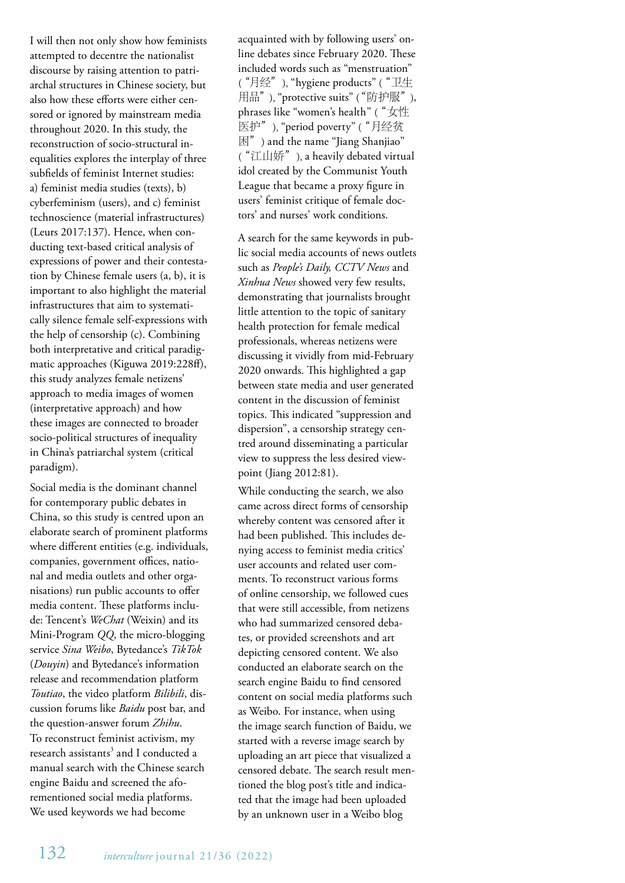I will then not only show how feminists attempted to decentre the nationalist discourse by raising attention to patriarchal structures in Chinese society, but also how these efforts were either censored or ignored by mainstream media throughout 2020. In this study, the reconstruction of socio-structural inequalities explores the interplay of three subfields of feminist Internet studies: a) feminist media studies (texts), b) cyberfeminism (users), and c) feminist technoscience (material infrastructures) (Leurs 2017:137). Hence, when conducting text-based critical analysis of expressions of power and their contestation by Chinese female users (a, b), it is important to also highlight the material infrastructures that aim to systematically silence female self-expressions with the help of censorship (c). Combining both interpretative and critical paradigmatic approaches (Kiguwa 2019:228ff), this study analyzes female netizens' approach to media images of women (interpretative approach) and how these images are connected to broader socio-political structures of inequality in China's patriarchal system (critical paradigm).

Social media is the dominant channel for contemporary public debates in China, so this study is centred upon an elaborate search of prominent platforms where different entities (e.g. individuals, companies, government offices, national and media outlets and other organisations) run public accounts to offer media content. These platforms include: Tencent's *WeChat* (Weixin) and its Mini-Program *QQ*, the micro-blogging service *Sina Weibo*, Bytedance's *TikTok* (*Douyin*) and Bytedance's information release and recommendation platform *Toutiao*, the video platform *Bilibili*, discussion forums like *Baidu* post bar, and the question-answer forum *Zhihu*. To reconstruct feminist activism, my research assistants $^3$  and I conducted a manual search with the Chinese search engine Baidu and screened the aforementioned social media platforms. We used keywords we had become

acquainted with by following users' online debates since February 2020. These included words such as "menstruation" ("月经"), "hygiene products" ("卫生 用品"), "protective suits" ("防护服"), phrases like "women's health" ("女性 医护"), "period poverty" ("月经贫 困") and the name "Jiang Shanjiao" ("江山娇"), a heavily debated virtual idol created by the Communist Youth League that became a proxy figure in users' feminist critique of female doctors' and nurses' work conditions.

A search for the same keywords in public social media accounts of news outlets such as *People's Daily, CCTV News* and *Xinhua News* showed very few results, demonstrating that journalists brought little attention to the topic of sanitary health protection for female medical professionals, whereas netizens were discussing it vividly from mid-February 2020 onwards. This highlighted a gap between state media and user generated content in the discussion of feminist topics. This indicated "suppression and dispersion", a censorship strategy centred around disseminating a particular view to suppress the less desired viewpoint (Jiang 2012:81).

While conducting the search, we also came across direct forms of censorship whereby content was censored after it had been published. This includes denying access to feminist media critics' user accounts and related user comments. To reconstruct various forms of online censorship, we followed cues that were still accessible, from netizens who had summarized censored debates, or provided screenshots and art depicting censored content. We also conducted an elaborate search on the search engine Baidu to find censored content on social media platforms such as Weibo. For instance, when using the image search function of Baidu, we started with a reverse image search by uploading an art piece that visualized a censored debate. The search result mentioned the blog post's title and indicated that the image had been uploaded by an unknown user in a Weibo blog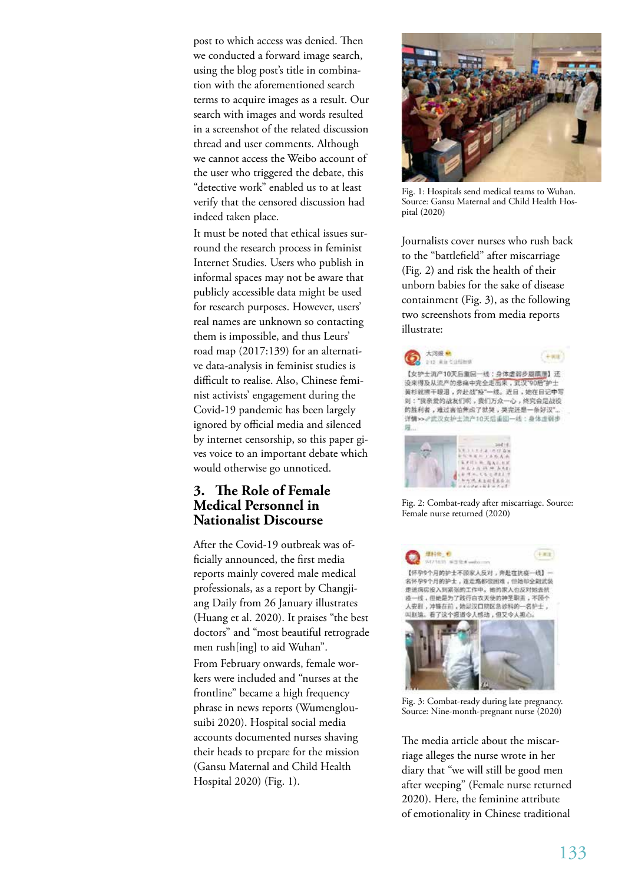post to which access was denied. Then we conducted a forward image search, using the blog post's title in combination with the aforementioned search terms to acquire images as a result. Our search with images and words resulted in a screenshot of the related discussion thread and user comments. Although we cannot access the Weibo account of the user who triggered the debate, this "detective work" enabled us to at least verify that the censored discussion had indeed taken place.

It must be noted that ethical issues surround the research process in feminist Internet Studies. Users who publish in informal spaces may not be aware that publicly accessible data might be used for research purposes. However, users' real names are unknown so contacting them is impossible, and thus Leurs' road map (2017:139) for an alternative data-analysis in feminist studies is difficult to realise. Also, Chinese feminist activists' engagement during the Covid-19 pandemic has been largely ignored by official media and silenced by internet censorship, so this paper gives voice to an important debate which would otherwise go unnoticed.

# **3. The Role of Female Medical Personnel in Nationalist Discourse**

After the Covid-19 outbreak was officially announced, the first media reports mainly covered male medical professionals, as a report by Changjiang Daily from 26 January illustrates (Huang et al. 2020). It praises "the best doctors" and "most beautiful retrograde men rush[ing] to aid Wuhan". From February onwards, female workers were included and "nurses at the frontline" became a high frequency phrase in news reports (Wumenglousuibi 2020). Hospital social media accounts documented nurses shaving their heads to prepare for the mission (Gansu Maternal and Child Health Hospital 2020) (Fig. 1).



Fig. 1: Hospitals send medical teams to Wuhan. Source: Gansu Maternal and Child Health Hospital (2020)

Journalists cover nurses who rush back to the "battlefield" after miscarriage (Fig. 2) and risk the health of their unborn babies for the sake of disease containment (Fig. 3), as the following two screenshots from media reports illustrate:



Fig. 2: Combat-ready after miscarriage. Source: Female nurse returned (2020)



Fig. 3: Combat-ready during late pregnancy. Source: Nine-month-pregnant nurse (2020)

The media article about the miscarriage alleges the nurse wrote in her diary that "we will still be good men after weeping" (Female nurse returned 2020). Here, the feminine attribute of emotionality in Chinese traditional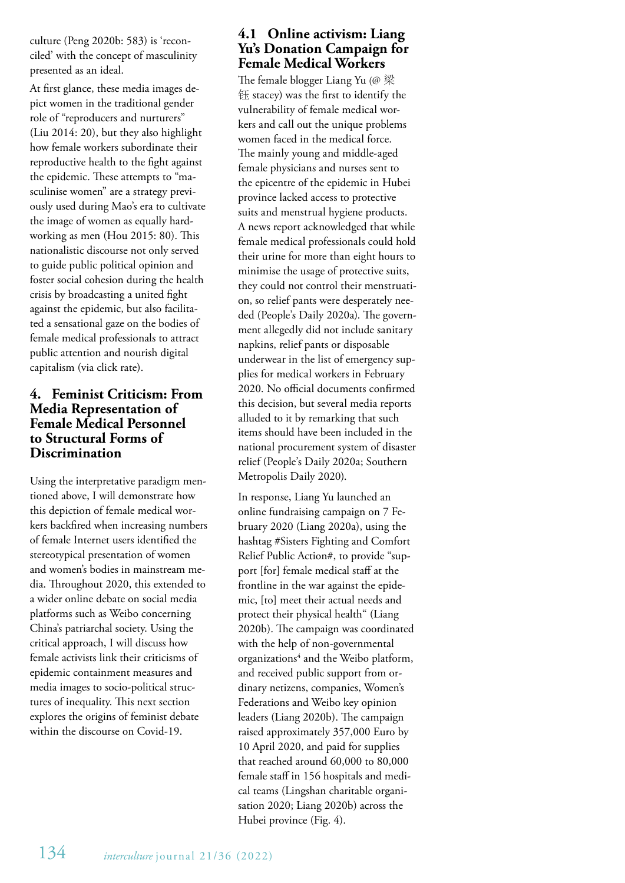culture (Peng 2020b: 583) is 'reconciled' with the concept of masculinity presented as an ideal.

At first glance, these media images depict women in the traditional gender role of "reproducers and nurturers" (Liu 2014: 20), but they also highlight how female workers subordinate their reproductive health to the fight against the epidemic. These attempts to "masculinise women" are a strategy previously used during Mao's era to cultivate the image of women as equally hardworking as men (Hou 2015: 80). This nationalistic discourse not only served to guide public political opinion and foster social cohesion during the health crisis by broadcasting a united fight against the epidemic, but also facilitated a sensational gaze on the bodies of female medical professionals to attract public attention and nourish digital capitalism (via click rate).

#### **4. Feminist Criticism: From Media Representation of Female Medical Personnel to Structural Forms of Discrimination**

Using the interpretative paradigm mentioned above, I will demonstrate how this depiction of female medical workers backfired when increasing numbers of female Internet users identified the stereotypical presentation of women and women's bodies in mainstream media. Throughout 2020, this extended to a wider online debate on social media platforms such as Weibo concerning China's patriarchal society. Using the critical approach, I will discuss how female activists link their criticisms of epidemic containment measures and media images to socio-political structures of inequality. This next section explores the origins of feminist debate within the discourse on Covid-19.

# **4.1 Online activism: Liang Yu's Donation Campaign for Female Medical Workers**

The female blogger Liang Yu (@ 梁 钰 stacey) was the first to identify the vulnerability of female medical workers and call out the unique problems women faced in the medical force. The mainly young and middle-aged female physicians and nurses sent to the epicentre of the epidemic in Hubei province lacked access to protective suits and menstrual hygiene products. A news report acknowledged that while female medical professionals could hold their urine for more than eight hours to minimise the usage of protective suits, they could not control their menstruation, so relief pants were desperately needed (People's Daily 2020a). The government allegedly did not include sanitary napkins, relief pants or disposable underwear in the list of emergency supplies for medical workers in February 2020. No official documents confirmed this decision, but several media reports alluded to it by remarking that such items should have been included in the national procurement system of disaster relief (People's Daily 2020a; Southern Metropolis Daily 2020).

In response, Liang Yu launched an online fundraising campaign on 7 February 2020 (Liang 2020a), using the hashtag #Sisters Fighting and Comfort Relief Public Action#, to provide "support [for] female medical staff at the frontline in the war against the epidemic, [to] meet their actual needs and protect their physical health" (Liang 2020b). The campaign was coordinated with the help of non-governmental organizations<sup>4</sup> and the Weibo platform, and received public support from ordinary netizens, companies, Women's Federations and Weibo key opinion leaders (Liang 2020b). The campaign raised approximately 357,000 Euro by 10 April 2020, and paid for supplies that reached around 60,000 to 80,000 female staff in 156 hospitals and medical teams (Lingshan charitable organisation 2020; Liang 2020b) across the Hubei province (Fig. 4).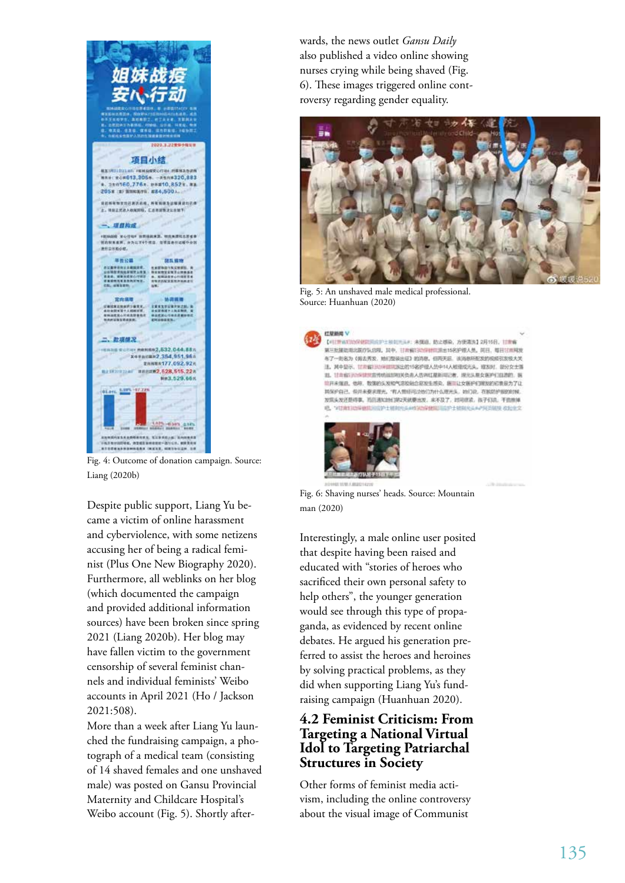

Fig. 4: Outcome of donation campaign. Source: Liang (2020b)

Despite public support, Liang Yu became a victim of online harassment and cyberviolence, with some netizens accusing her of being a radical feminist (Plus One New Biography 2020). Furthermore, all weblinks on her blog (which documented the campaign and provided additional information sources) have been broken since spring 2021 (Liang 2020b). Her blog may have fallen victim to the government censorship of several feminist channels and individual feminists' Weibo accounts in April 2021 (Ho / Jackson 2021:508).

More than a week after Liang Yu launched the fundraising campaign, a photograph of a medical team (consisting of 14 shaved females and one unshaved male) was posted on Gansu Provincial Maternity and Childcare Hospital's Weibo account (Fig. 5). Shortly afterwards, the news outlet *Gansu Daily* also published a video online showing nurses crying while being shaved (Fig. 6). These images triggered online controversy regarding gender equality.



Fig. 5: An unshaved male medical professional. Source: Huanhuan (2020)



【中国理病院院保健院院院护士和副所示A: 未確認、防止感染、方便清洗】2月15日、日常備 第三批复数电比赛疗队结构。其中,甘肃解注动作时间出出15名护理人员。简目、每日甘肃网友 47-085 (NARX, MIZIKEE) 2010, ORRE, INDRESONATIVEAX 注,其中显示、甘肃省注册间期国家出的15名护理人员中14人相接成光头。建发时、部分女士推 其、甘肃省2305年世家传统运动和关位市人员列红屋新闻2者、提升头是女医护灯四期的、医 **前开来强进、他将、数据的头发和气容较轻点和发生成功。新闻让女医护住到线的和重要为了让** 其保护自己、但月未要求理光、有人觉得可地们为什么理光头、地门说、在我的护服的时候 发现头发还是将事,当日通知地红的2天就要出发,家不及了,时间就能,孩子们说,干面照得 0. VENERSWIRTSDYLWARSANSRNDESF1MARAAPKSMR 81083



Fig. 6: Shaving nurses' heads. Source: Mountain man (2020)

Interestingly, a male online user posited that despite having been raised and educated with "stories of heroes who sacrificed their own personal safety to help others", the younger generation would see through this type of propaganda, as evidenced by recent online debates. He argued his generation preferred to assist the heroes and heroines by solving practical problems, as they did when supporting Liang Yu's fundraising campaign (Huanhuan 2020).

# **4.2 Feminist Criticism: From Targeting a National Virtual Idol to Targeting Patriarchal Structures in Society**

Other forms of feminist media activism, including the online controversy about the visual image of Communist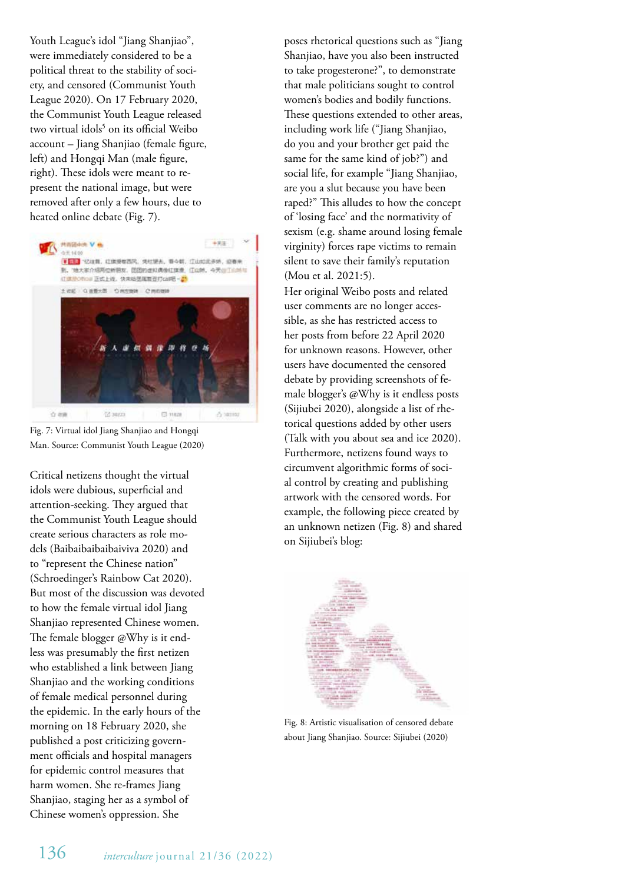Youth League's idol "Jiang Shanjiao", were immediately considered to be a political threat to the stability of society, and censored (Communist Youth League 2020). On 17 February 2020, the Communist Youth League released two virtual idols<sup>5</sup> on its official Weibo account – Jiang Shanjiao (female figure, left) and Hongqi Man (male figure, right). These idols were meant to represent the national image, but were removed after only a few hours, due to heated online debate (Fig. 7).



Fig. 7: Virtual idol Jiang Shanjiao and Hongqi Man. Source: Communist Youth League (2020)

Critical netizens thought the virtual idols were dubious, superficial and attention-seeking. They argued that the Communist Youth League should create serious characters as role models (Baibaibaibaibaiviva 2020) and to "represent the Chinese nation" (Schroedinger's Rainbow Cat 2020). But most of the discussion was devoted to how the female virtual idol Jiang Shanjiao represented Chinese women. The female blogger @Why is it endless was presumably the first netizen who established a link between Jiang Shanjiao and the working conditions of female medical personnel during the epidemic. In the early hours of the morning on 18 February 2020, she published a post criticizing government officials and hospital managers for epidemic control measures that harm women. She re-frames Jiang Shanjiao, staging her as a symbol of Chinese women's oppression. She

poses rhetorical questions such as "Jiang Shanjiao, have you also been instructed to take progesterone?", to demonstrate that male politicians sought to control women's bodies and bodily functions. These questions extended to other areas, including work life ("Jiang Shanjiao, do you and your brother get paid the same for the same kind of job?") and social life, for example "Jiang Shanjiao, are you a slut because you have been raped?" This alludes to how the concept of 'losing face' and the normativity of sexism (e.g. shame around losing female virginity) forces rape victims to remain silent to save their family's reputation (Mou et al. 2021:5).

Her original Weibo posts and related user comments are no longer accessible, as she has restricted access to her posts from before 22 April 2020 for unknown reasons. However, other users have documented the censored debate by providing screenshots of female blogger's @Why is it endless posts (Sijiubei 2020), alongside a list of rhetorical questions added by other users (Talk with you about sea and ice 2020). Furthermore, netizens found ways to circumvent algorithmic forms of social control by creating and publishing artwork with the censored words. For example, the following piece created by an unknown netizen (Fig. 8) and shared on Sijiubei's blog:



Fig. 8: Artistic visualisation of censored debate about Jiang Shanjiao. Source: Sijiubei (2020)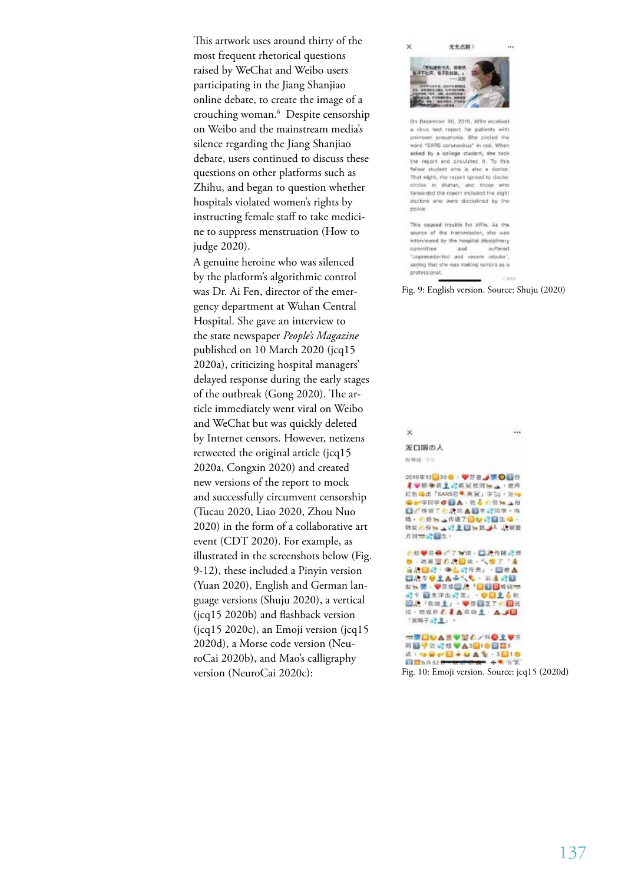This artwork uses around thirty of the most frequent rhetorical questions raised by WeChat and Weibo users participating in the Jiang Shanjiao online debate, to create the image of a crouching woman.6 Despite censorship on Weibo and the mainstream media's silence regarding the Jiang Shanjiao debate, users continued to discuss these questions on other platforms such as Zhihu, and began to question whether hospitals violated women's rights by instructing female staff to take medicine to suppress menstruation (How to judge 2020).

A genuine heroine who was silenced by the platform's algorithmic control was Dr. Ai Fen, director of the emergency department at Wuhan Central Hospital. She gave an interview to the state newspaper *People's Magazine* published on 10 March 2020 (jcq15 2020a), criticizing hospital managers' delayed response during the early stages of the outbreak (Gong 2020). The article immediately went viral on Weibo and WeChat but was quickly deleted by Internet censors. However, netizens retweeted the original article (jcq15 2020a, Congxin 2020) and created new versions of the report to mock and successfully circumvent censorship (Tucau 2020, Liao 2020, Zhou Nuo 2020) in the form of a collaborative art event (CDT 2020). For example, as illustrated in the screenshots below (Fig. 9-12), these included a Pinyin version (Yuan 2020), English and German language versions (Shuju 2020), a vertical (jcq15 2020b) and flashback version (jcq15 2020c), an Emoji version (jcq15 2020d), a Morse code version (NeuroCai 2020b), and Mao's calligraphy version (NeuroCai 2020c):



On December 30, 2019, Affin received a virus test report for patients with unknown preumonia. She circled the word "SARS coronavirus" in red. When asked by a college student, she took the report and circulated it. To this fellow student who is also a doctor That night, the report spread to doctor circles in Wuman, and those who forwarded the report included the eight doctors who were disciplined by the poice.

This caused trouble for Affin, As the source of the transmission, she was interviewed by the hospital disciplinary conmittee and suffered 'unprecedented and severe rebuke', saying that she was making rumors as a professional.

Fig. 9: English version. Source: Shuju (2020)

| ×<br>                                                                                                                                                                              |
|------------------------------------------------------------------------------------------------------------------------------------------------------------------------------------|
| 发口脳の人                                                                                                                                                                              |
| 按排译 三三                                                                                                                                                                             |
| 2019年12日30号 李芬曾 / 第〇四份<br>2 甲胺染病 2 记将冠枪测压 上一地用<br>紅色 自出「SARS完璧 病夏」字句,目1<br>第一学日学 2 24 A · 注意: 份 m _ 拍<br>■○传承了予测回▲图生記回学→当<br>转发光份加 公里 四加热 人 建被警<br>方刘三、记载生。                        |
| そは♥分●「丁水川・口沢传播記点<br>■ 地被窗右爬圆铁 人参了「盖」<br>自決証記・中心記斥責」・回世人<br>国語が登主古来伝え→田重説願<br>盐1m 望 · ●芬波图 唐「日日日报报调查<br>@? 图生浮出记面」, ●图主: 6 85<br>图源 欢呀上」 梦芬园正了一团说<br>法,继说自己是高效的是: △ 2<br>「发明子32 至」。 |
| ■原因の人まや安心ノ科の主要を<br>问题学访记知》A311●问题5<br><b>A. SWOLFUAS 3216</b><br>Fig. 10: Emoji version. Source: jcq15 (2020d)                                                                     |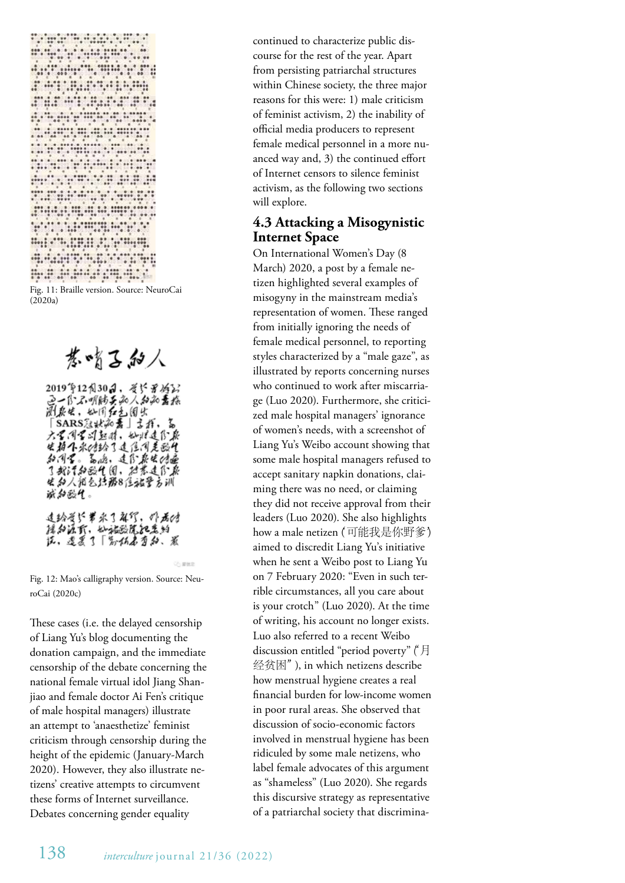**Facture Construction** urbitanen k 89899988 <u>Windows</u> APROVING AND A 

Fig. 11: Braille version. Source: NeuroCai  $(2020a)$ 

基嗜吕加人

2019年12月30日,考许罗将公司(1995年)<br>1918年,如用红色园出版团教授(1995年)<br>1928年,如用红色园出版、高山 六名同名同起时,她以连传原 生拍个永/结幻过住闭是戬化 和同言。篇篇,连作获生的遍光的方法。 医心包炎 医心包 医心包 医心包 球和歌气。 **连钤受铲罗永了解钌,那君(d)** 摇加通武,孙施欧院把其的<br>佐,遭袭了「默怀启为叔、煮

Fig. 12: Mao's calligraphy version. Source: NeuroCai (2020c)

These cases (i.e. the delayed censorship of Liang Yu's blog documenting the donation campaign, and the immediate censorship of the debate concerning the national female virtual idol Jiang Shanjiao and female doctor Ai Fen's critique of male hospital managers) illustrate an attempt to 'anaesthetize' feminist criticism through censorship during the height of the epidemic (January-March 2020). However, they also illustrate netizens' creative attempts to circumvent these forms of Internet surveillance. Debates concerning gender equality

continued to characterize public discourse for the rest of the year. Apart from persisting patriarchal structures within Chinese society, the three major reasons for this were: 1) male criticism of feminist activism, 2) the inability of official media producers to represent female medical personnel in a more nuanced way and, 3) the continued effort of Internet censors to silence feminist activism, as the following two sections will explore.

#### **4.3 Attacking a Misogynistic Internet Space**

On International Women's Day (8 March) 2020, a post by a female netizen highlighted several examples of misogyny in the mainstream media's representation of women. These ranged from initially ignoring the needs of female medical personnel, to reporting styles characterized by a "male gaze", as illustrated by reports concerning nurses who continued to work after miscarriage (Luo 2020). Furthermore, she criticized male hospital managers' ignorance of women's needs, with a screenshot of Liang Yu's Weibo account showing that some male hospital managers refused to accept sanitary napkin donations, claiming there was no need, or claiming they did not receive approval from their leaders (Luo 2020). She also highlights how a male netizen (可能我是你野爹) aimed to discredit Liang Yu's initiative when he sent a Weibo post to Liang Yu on 7 February 2020: "Even in such terrible circumstances, all you care about is your crotch" (Luo 2020). At the time of writing, his account no longer exists. Luo also referred to a recent Weibo discussion entitled "period poverty" ("月 经贫困"), in which netizens describe how menstrual hygiene creates a real financial burden for low-income women in poor rural areas. She observed that discussion of socio-economic factors involved in menstrual hygiene has been ridiculed by some male netizens, who label female advocates of this argument as "shameless" (Luo 2020). She regards this discursive strategy as representative of a patriarchal society that discrimina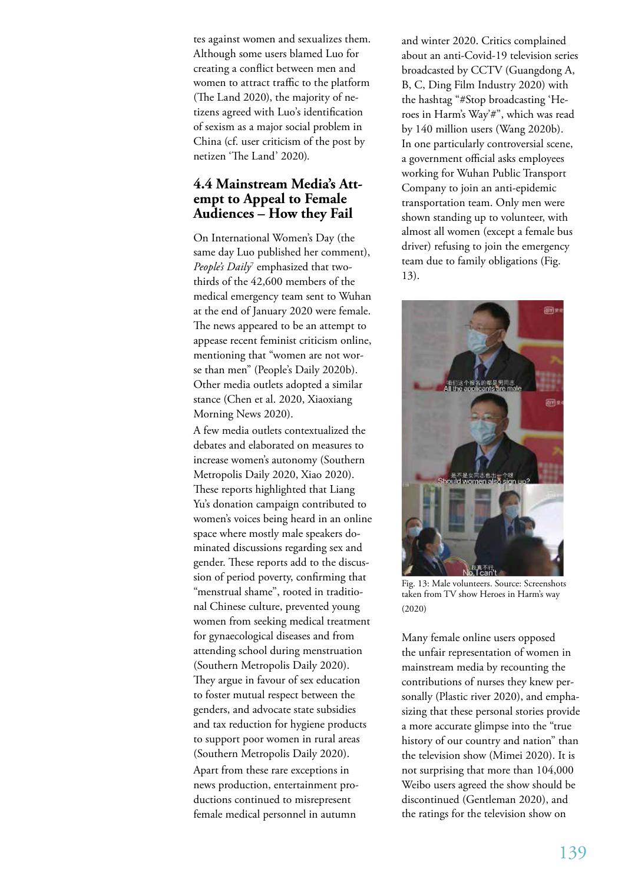tes against women and sexualizes them. Although some users blamed Luo for creating a conflict between men and women to attract traffic to the platform (The Land 2020), the majority of netizens agreed with Luo's identification of sexism as a major social problem in China (cf. user criticism of the post by netizen 'The Land' 2020).

# **4.4 Mainstream Media's Attempt to Appeal to Female Audiences – How they Fail**

On International Women's Day (the same day Luo published her comment), People's Daily<sup>7</sup> emphasized that twothirds of the 42,600 members of the medical emergency team sent to Wuhan at the end of January 2020 were female. The news appeared to be an attempt to appease recent feminist criticism online, mentioning that "women are not worse than men" (People's Daily 2020b). Other media outlets adopted a similar stance (Chen et al. 2020, Xiaoxiang Morning News 2020).

A few media outlets contextualized the debates and elaborated on measures to increase women's autonomy (Southern Metropolis Daily 2020, Xiao 2020). These reports highlighted that Liang Yu's donation campaign contributed to women's voices being heard in an online space where mostly male speakers dominated discussions regarding sex and gender. These reports add to the discussion of period poverty, confirming that "menstrual shame", rooted in traditional Chinese culture, prevented young women from seeking medical treatment for gynaecological diseases and from attending school during menstruation (Southern Metropolis Daily 2020). They argue in favour of sex education to foster mutual respect between the genders, and advocate state subsidies and tax reduction for hygiene products to support poor women in rural areas (Southern Metropolis Daily 2020). Apart from these rare exceptions in news production, entertainment productions continued to misrepresent female medical personnel in autumn

and winter 2020. Critics complained about an anti-Covid-19 television series broadcasted by CCTV (Guangdong A, B, C, Ding Film Industry 2020) with the hashtag "#Stop broadcasting 'Heroes in Harm's Way'#", which was read by 140 million users (Wang 2020b). In one particularly controversial scene, a government official asks employees working for Wuhan Public Transport Company to join an anti-epidemic transportation team. Only men were shown standing up to volunteer, with almost all women (except a female bus driver) refusing to join the emergency team due to family obligations (Fig. 13).



Fig. 13: Male volunteers. Source: Screenshots taken from TV show Heroes in Harm's way (2020)

Many female online users opposed the unfair representation of women in mainstream media by recounting the contributions of nurses they knew personally (Plastic river 2020), and emphasizing that these personal stories provide a more accurate glimpse into the "true history of our country and nation" than the television show (Mimei 2020). It is not surprising that more than 104,000 Weibo users agreed the show should be discontinued (Gentleman 2020), and the ratings for the television show on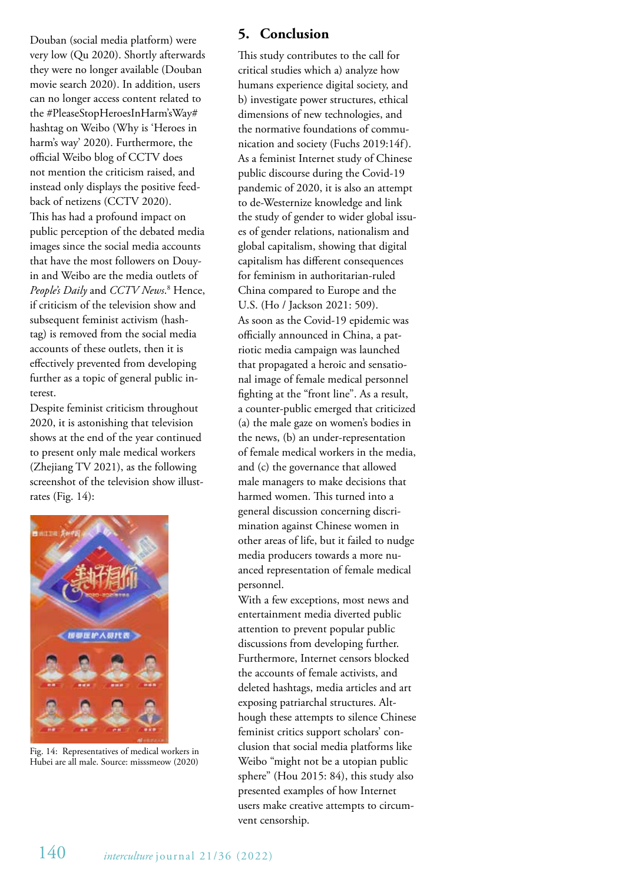Douban (social media platform) were very low (Qu 2020). Shortly afterwards they were no longer available (Douban movie search 2020). In addition, users can no longer access content related to the #PleaseStopHeroesInHarm'sWay# hashtag on Weibo (Why is 'Heroes in harm's way' 2020). Furthermore, the official Weibo blog of CCTV does not mention the criticism raised, and instead only displays the positive feedback of netizens (CCTV 2020). This has had a profound impact on public perception of the debated media images since the social media accounts that have the most followers on Douyin and Weibo are the media outlets of *People's Daily* and *CCTV News*. 8 Hence, if criticism of the television show and subsequent feminist activism (hashtag) is removed from the social media accounts of these outlets, then it is effectively prevented from developing further as a topic of general public interest.

Despite feminist criticism throughout 2020, it is astonishing that television shows at the end of the year continued to present only male medical workers (Zhejiang TV 2021), as the following screenshot of the television show illustrates (Fig. 14):



Fig. 14: Representatives of medical workers in Hubei are all male. Source: misssmeow (2020)

#### **5. Conclusion**

This study contributes to the call for critical studies which a) analyze how humans experience digital society, and b) investigate power structures, ethical dimensions of new technologies, and the normative foundations of communication and society (Fuchs 2019:14f). As a feminist Internet study of Chinese public discourse during the Covid-19 pandemic of 2020, it is also an attempt to de-Westernize knowledge and link the study of gender to wider global issues of gender relations, nationalism and global capitalism, showing that digital capitalism has different consequences for feminism in authoritarian-ruled China compared to Europe and the U.S. (Ho / Jackson 2021: 509). As soon as the Covid-19 epidemic was officially announced in China, a patriotic media campaign was launched that propagated a heroic and sensational image of female medical personnel fighting at the "front line". As a result, a counter-public emerged that criticized (a) the male gaze on women's bodies in the news, (b) an under-representation of female medical workers in the media, and (c) the governance that allowed male managers to make decisions that harmed women. This turned into a general discussion concerning discrimination against Chinese women in other areas of life, but it failed to nudge media producers towards a more nuanced representation of female medical personnel.

With a few exceptions, most news and entertainment media diverted public attention to prevent popular public discussions from developing further. Furthermore, Internet censors blocked the accounts of female activists, and deleted hashtags, media articles and art exposing patriarchal structures. Although these attempts to silence Chinese feminist critics support scholars' conclusion that social media platforms like Weibo "might not be a utopian public sphere" (Hou 2015: 84), this study also presented examples of how Internet users make creative attempts to circumvent censorship.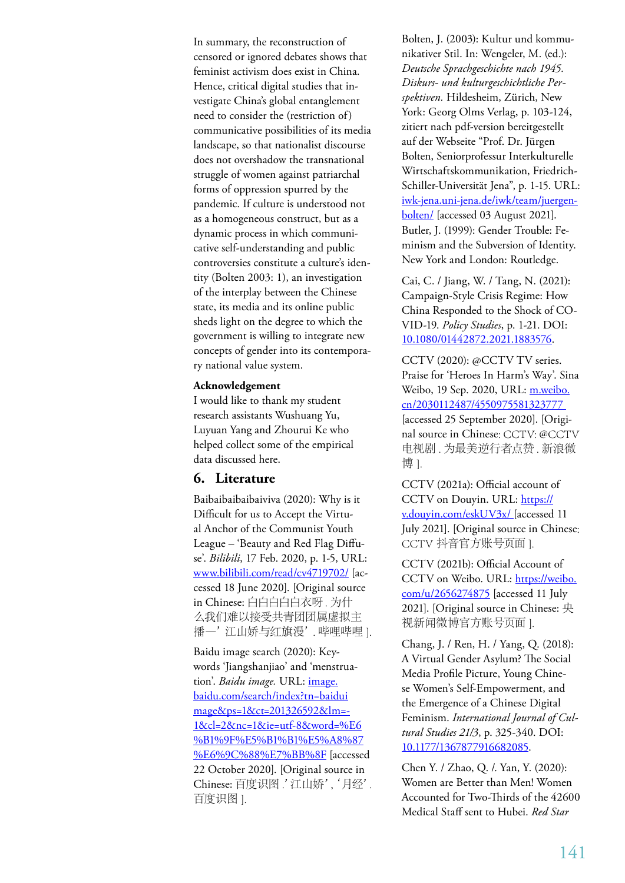In summary, the reconstruction of censored or ignored debates shows that feminist activism does exist in China. Hence, critical digital studies that investigate China's global entanglement need to consider the (restriction of) communicative possibilities of its media landscape, so that nationalist discourse does not overshadow the transnational struggle of women against patriarchal forms of oppression spurred by the pandemic. If culture is understood not as a homogeneous construct, but as a dynamic process in which communicative self-understanding and public controversies constitute a culture's identity (Bolten 2003: 1), an investigation of the interplay between the Chinese state, its media and its online public sheds light on the degree to which the government is willing to integrate new concepts of gender into its contemporary national value system.

#### **Acknowledgement**

I would like to thank my student research assistants Wushuang Yu, Luyuan Yang and Zhourui Ke who helped collect some of the empirical data discussed here.

#### **6. Literature**

Baibaibaibaibaiviva (2020): Why is it Difficult for us to Accept the Virtual Anchor of the Communist Youth League – 'Beauty and Red Flag Diffuse'. *Bilibili*, 17 Feb. 2020, p. 1-5, URL: www.bilibili.com/read/cv4719702/ [accessed 18 June 2020]. [Original source in Chinese: 白白白白白衣呀 . 为什 么我们难以接受共青团团属虚拟主 播—'江山娇与红旗漫'. 哔哩哔哩 ].

Baidu image search (2020): Keywords 'Jiangshanjiao' and 'menstruation'. *Baidu image.* URL: image. baidu.com/search/index?tn=baidui mage&ps=1&ct=201326592&lm=- 1&cl=2&nc=1&ie=utf-8&word=%E6 %B1%9F%E5%B1%B1%E5%A8%87 %E6%9C%88%E7%BB%8F [accessed 22 October 2020]. [Original source in Chinese: 百度识图 .' 江山娇', '月经'. 百度识图 ].

Bolten, J. (2003): Kultur und kommunikativer Stil. In: Wengeler, M. (ed.): *Deutsche Sprachgeschichte nach 1945. Diskurs- und kulturgeschichtliche Perspektiven.* Hildesheim, Zürich, New York: Georg Olms Verlag, p. 103-124, zitiert nach pdf-version bereitgestellt auf der Webseite "Prof. Dr. Jürgen Bolten, Seniorprofessur Interkulturelle Wirtschaftskommunikation, Friedrich-Schiller-Universität Jena", p. 1-15. URL: iwk-jena.uni-jena.de/iwk/team/juergenbolten/ [accessed 03 August 2021]. Butler, J. (1999): Gender Trouble: Feminism and the Subversion of Identity. New York and London: Routledge.

Cai, C. / Jiang, W. / Tang, N. (2021): Campaign-Style Crisis Regime: How China Responded to the Shock of CO-VID-19. *Policy Studies*, p. 1-21. DOI: 10.1080/01442872.2021.1883576.

CCTV (2020): @CCTV TV series. Praise for 'Heroes In Harm's Way'. Sina Weibo, 19 Sep. 2020, URL: m.weibo. cn/2030112487/4550975581323777 [accessed 25 September 2020]. [Original source in Chinese: CCTV: @CCTV 电视剧 . 为最美逆行者点赞 . 新浪微 博].

CCTV (2021a): Official account of CCTV on Douyin. URL: https:// v.douyin.com/eskUV3x/ [accessed 11 July 2021]. [Original source in Chinese: CCTV 抖音官方账号页面 ].

CCTV (2021b): Official Account of CCTV on Weibo. URL: https://weibo. com/u/2656274875 [accessed 11 July 2021]. [Original source in Chinese: 央 视新闻微博官方账号页面 ].

Chang, J. / Ren, H. / Yang, Q. (2018): A Virtual Gender Asylum? The Social Media Profile Picture, Young Chinese Women's Self-Empowerment, and the Emergence of a Chinese Digital Feminism. *International Journal of Cultural Studies 21/3*, p. 325-340. DOI: 10.1177/1367877916682085.

Chen Y. / Zhao, Q. /. Yan, Y. (2020): Women are Better than Men! Women Accounted for Two-Thirds of the 42600 Medical Staff sent to Hubei. *Red Star*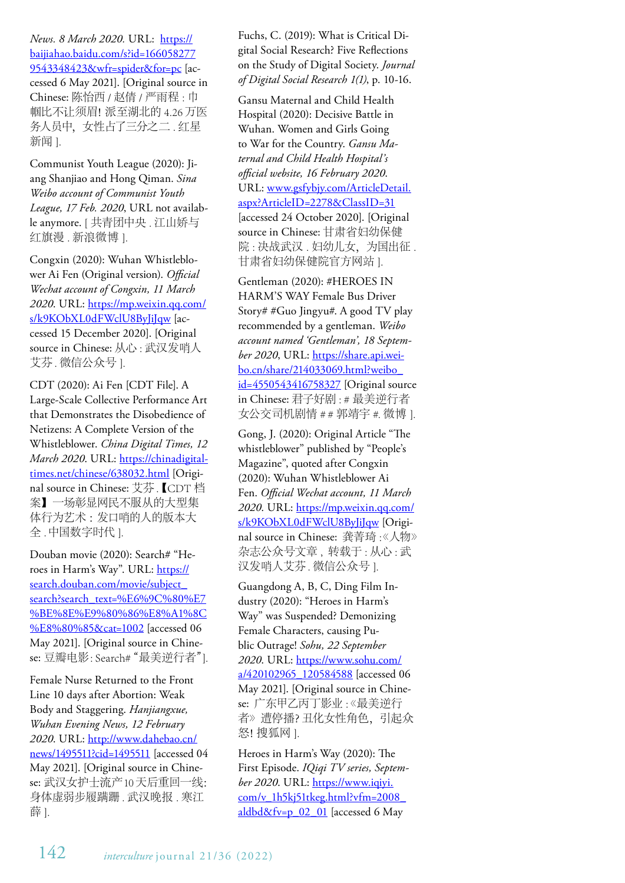*News. 8 March 2020.* URL: https:// baijiahao.baidu.com/s?id=166058277 9543348423&wfr=spider&for=pc [accessed 6 May 2021]. [Original source in Chinese: 陈怡西 / 赵倩 / 严雨程 : 巾 帼比不让须眉!派至湖北的 4.26 万医 务人员中,女性占了三分之二 . 红星 新闻 ].

Communist Youth League (2020): Jiang Shanjiao and Hong Qiman. *Sina Weibo account of Communist Youth League, 17 Feb. 2020*, URL not available anymore. [ 共青团中央 . 江山娇与 红旗漫 . 新浪微博 ].

Congxin (2020): Wuhan Whistleblower Ai Fen (Original version). *Official Wechat account of Congxin, 11 March 2020*. URL: https://mp.weixin.qq.com/ s/k9KObXL0dFWclU8ByJiJqw [accessed 15 December 2020]. [Original source in Chinese: 从心 : 武汉发哨人 艾芬. 微信公众号 ].

CDT (2020): Ai Fen [CDT File]. A Large-Scale Collective Performance Art that Demonstrates the Disobedience of Netizens: A Complete Version of the Whistleblower. *China Digital Times, 12 March 2020*. URL: https://chinadigitaltimes.net/chinese/638032.html [Original source in Chinese: 艾芬 .【CDT 档 案】一场彰显网民不服从的大型集 体行为艺术 :发口哨的人的版本大 全 . 中国数字时代 ].

Douban movie (2020): Search# "Heroes in Harm's Way". URL: https:// search.douban.com/movie/subject\_ search?search\_text=%E6%9C%80%E7 %BE%8E%E9%80%86%E8%A1%8C %E8%80%85&cat=1002 [accessed 06 May 2021]. [Original source in Chinese: 豆瓣电影: Search# "最美逆行者"].

Female Nurse Returned to the Front Line 10 days after Abortion: Weak Body and Staggering. *Hanjiangxue, Wuhan Evening News, 12 February 2020*. URL: http://www.dahebao.cn/ news/1495511?cid=1495511 [accessed 04 May 2021]. [Original source in Chinese: 武汉女护士流产10 天后重回一线: 身体虚弱步履蹒跚 . 武汉晚报 . 寒江 薛 ].

Fuchs, C. (2019): What is Critical Digital Social Research? Five Reflections on the Study of Digital Society. *Journal of Digital Social Research 1(1)*, p. 10-16.

Gansu Maternal and Child Health Hospital (2020): Decisive Battle in Wuhan. Women and Girls Going to War for the Country. *Gansu Maternal and Child Health Hospital's official website, 16 February 2020*. URL: www.gsfybjy.com/ArticleDetail. aspx?ArticleID=2278&ClassID=31 [accessed 24 October 2020]. [Original source in Chinese: 甘肃省妇幼保健 院:决战武汉. 妇幼儿女, 为国出征. 甘肃省妇幼保健院官方网站 ].

Gentleman (2020): #HEROES IN HARM'S WAY Female Bus Driver Story# #Guo Jingyu#. A good TV play recommended by a gentleman. *Weibo account named 'Gentleman', 18 September 2020*, URL: https://share.api.weibo.cn/share/214033069.html?weibo\_ id=4550543416758327 [Original source in Chinese: 君子好剧 : # 最美逆行者 女公交司机剧情 # # 郭靖宇 #. 微博 1.

Gong, J. (2020): Original Article "The whistleblower" published by "People's Magazine", quoted after Congxin (2020): Wuhan Whistleblower Ai Fen. *Official Wechat account, 11 March 2020*. URL: https://mp.weixin.qq.com/ s/k9KObXL0dFWclU8ByJiJqw [Original source in Chinese: 龚菁琦 :《人物》 杂志公众号文章 , 转载于 : 从心 : 武 汉发哨人艾芬. 微信公众号 ].

Guangdong A, B, C, Ding Film Industry (2020): "Heroes in Harm's Way" was Suspended? Demonizing Female Characters, causing Public Outrage! *Sohu, 22 September 2020*. URL: https://www.sohu.com/ a/420102965\_120584588 [accessed 06 May 2021]. [Original source in Chinese: 广东甲乙丙丁影业 : 《最美逆行 者》遭停播?丑化女性角色,引起众 怒! 搜狐网 1.

Heroes in Harm's Way (2020): The First Episode. *IQiqi TV series, September 2020*. URL: https://www.iqiyi. com/v\_1h5kj51tkeg.html?vfm=2008\_ aldbd $&f$ v=p\_02\_01 [accessed 6 May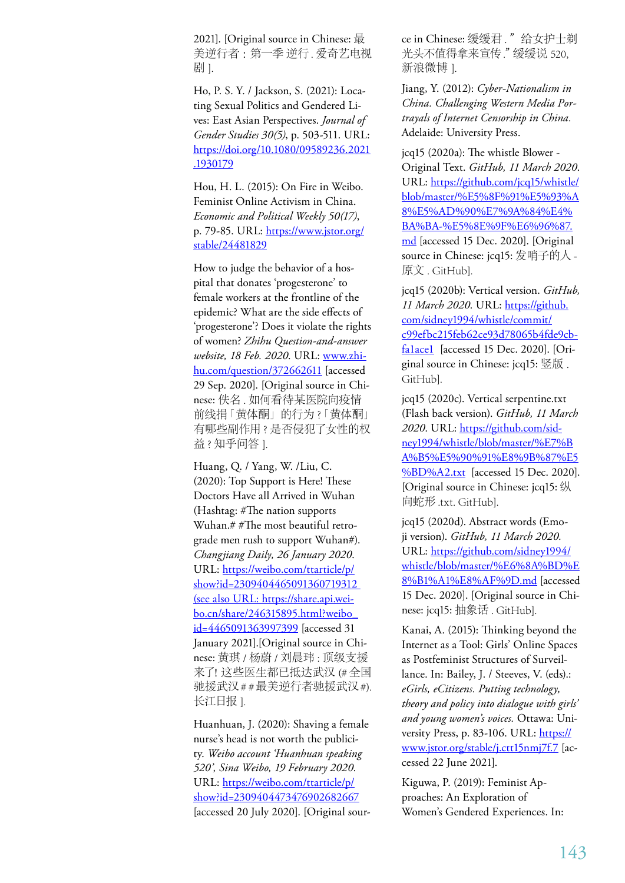2021]. [Original source in Chinese: 最 美逆行者 :第一季 逆行 . 爱奇艺电视 剧 1.

Ho, P. S. Y. / Jackson, S. (2021): Locating Sexual Politics and Gendered Lives: East Asian Perspectives. *Journal of Gender Studies 30(5)*, p. 503-511. URL: https://doi.org/10.1080/09589236.2021 .1930179

Hou, H. L. (2015): On Fire in Weibo. Feminist Online Activism in China. *Economic and Political Weekly 50(17)*, p. 79-85. URL: https://www.jstor.org/ stable/24481829

How to judge the behavior of a hospital that donates 'progesterone' to female workers at the frontline of the epidemic? What are the side effects of 'progesterone'? Does it violate the rights of women? *Zhihu Question-and-answer website, 18 Feb. 2020*. URL: www.zhihu.com/question/372662611 [accessed 29 Sep. 2020]. [Original source in Chinese: 佚名 . 如何看待某医院向疫情 前线捐「黄体酮」的行为 ?「黄体酮」 有哪些副作用 ? 是否侵犯了女性的权 益 ? 知乎问答 1.

Huang, Q. / Yang, W. /Liu, C. (2020): Top Support is Here! These Doctors Have all Arrived in Wuhan (Hashtag: #The nation supports Wuhan.# #The most beautiful retrograde men rush to support Wuhan#). *Changjiang Daily, 26 January 2020*. URL: https://weibo.com/ttarticle/p/ show?id=2309404465091360719312 (see also URL: https://share.api.weibo.cn/share/246315895.html?weibo\_ id=4465091363997399 [accessed 31 January 2021].[Original source in Chinese: 黄琪 / 杨蔚 / 刘晨玮 : 顶级支援 来了!这些医生都已抵达武汉 (# 全国 驰援武汉 # # 最美逆行者驰援武汉 #). 长江日报 ].

Huanhuan, J. (2020): Shaving a female nurse's head is not worth the publicity. *Weibo account 'Huanhuan speaking 520', Sina Weibo, 19 February 2020*. URL: https://weibo.com/ttarticle/p/ show?id=2309404473476902682667 [accessed 20 July 2020]. [Original source in Chinese: 缓缓君."给女护士剃 光头不值得拿来宣传," 缓缓说 520, 新浪微博 ].

Jiang, Y. (2012): *Cyber-Nationalism in China. Challenging Western Media Portrayals of Internet Censorship in China.* Adelaide: University Press.

jcq15 (2020a): The whistle Blower - Original Text. *GitHub, 11 March 2020*. URL: https://github.com/jcq15/whistle/ blob/master/%E5%8F%91%E5%93%A 8%E5%AD%90%E7%9A%84%E4% BA%BA-%E5%8E%9F%E6%96%87. md [accessed 15 Dec. 2020]. [Original source in Chinese: jcq15: 发哨子的人 - 原文 . GitHub].

jcq15 (2020b): Vertical version. *GitHub, 11 March 2020*. URL: https://github. com/sidney1994/whistle/commit/ c99efbc215feb62ce93d78065b4fde9cbfalacel [accessed 15 Dec. 2020]. [Original source in Chinese: jcq15: 竖版 . GitHub].

jcq15 (2020c). Vertical serpentine.txt (Flash back version). *GitHub, 11 March 2020*. URL: https://github.com/sidney1994/whistle/blob/master/%E7%B A%B5%E5%90%91%E8%9B%87%E5 %BD%A2.txt [accessed 15 Dec. 2020]. [Original source in Chinese: jcq15: 纵 向蛇形 .txt. GitHub].

jcq15 (2020d). Abstract words (Emoji version). *GitHub, 11 March 2020.*  URL: https://github.com/sidney1994/ whistle/blob/master/%E6%8A%BD%E 8%B1%A1%E8%AF%9D.md [accessed 15 Dec. 2020]. [Original source in Chinese: jcq15: 抽象话 . GitHub].

Kanai, A. (2015): Thinking beyond the Internet as a Tool: Girls' Online Spaces as Postfeminist Structures of Surveillance. In: Bailey, J. / Steeves, V. (eds).: *eGirls, eCitizens. Putting technology, theory and policy into dialogue with girls' and young women's voices.* Ottawa: University Press, p. 83-106. URL: https:// www.jstor.org/stable/j.ctt15nmj7f.7 [accessed 22 June 2021].

Kiguwa, P. (2019): Feminist Approaches: An Exploration of Women's Gendered Experiences. In: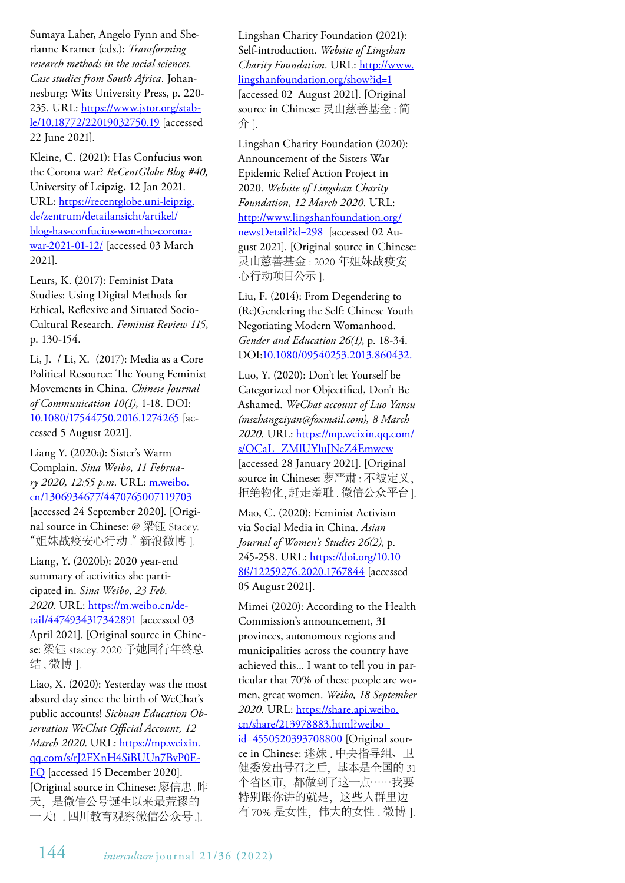Sumaya Laher, Angelo Fynn and Sherianne Kramer (eds.): *Transforming research methods in the social sciences. Case studies from South Africa.* Johannesburg: Wits University Press, p. 220- 235. URL: https://www.jstor.org/stable/10.18772/22019032750.19 [accessed 22 June 2021].

Kleine, C. (2021): Has Confucius won the Corona war? *ReCentGlobe Blog #40,* University of Leipzig, 12 Jan 2021. URL: https://recentglobe.uni-leipzig. de/zentrum/detailansicht/artikel/ blog-has-confucius-won-the-coronawar-2021-01-12/ [accessed 03 March 2021].

Leurs, K. (2017): Feminist Data Studies: Using Digital Methods for Ethical, Reflexive and Situated Socio-Cultural Research. *Feminist Review 115*, p. 130-154.

Li, J. / Li, X. (2017): Media as a Core Political Resource: The Young Feminist Movements in China. *Chinese Journal of Communication 10(1)*, 1-18. DOI: 10.1080/17544750.2016.1274265 [accessed 5 August 2021].

Liang Y. (2020a): Sister's Warm Complain. *Sina Weibo, 11 February 2020, 12:55 p.m*. URL: m.weibo. cn/1306934677/4470765007119703 [accessed 24 September 2020]. [Original source in Chinese: @ 梁钰 Stacey. "姐妹战疫安心行动 " 新浪微博 ].

Liang, Y. (2020b): 2020 year-end summary of activities she participated in. *Sina Weibo, 23 Feb. 2020.* URL: https://m.weibo.cn/detail/4474934317342891 [accessed 03 April 2021]. [Original source in Chinese: 梁钰 stacey. 2020 予她同行年终总 结, 微博 1.

Liao, X. (2020): Yesterday was the most absurd day since the birth of WeChat's public accounts! *Sichuan Education Observation WeChat Official Account, 12 March 2020*. URL: https://mp.weixin. qq.com/s/rJ2FXnH4SiBUUn7BvP0E-FQ [accessed 15 December 2020]. [Original source in Chinese: 廖信忠.昨 天,是微信公号诞生以来最荒谬的 一天!. 四川教育观察微信公众号 .].

Lingshan Charity Foundation (2021): Self-introduction. *Website of Lingshan Charity Foundation*. URL: http://www. lingshanfoundation.org/show?id=1 [accessed 02 August 2021]. [Original source in Chinese: 灵山慈善基金 : 简 介 ].

Lingshan Charity Foundation (2020): Announcement of the Sisters War Epidemic Relief Action Project in 2020. *Website of Lingshan Charity Foundation, 12 March 2020*. URL: http://www.lingshanfoundation.org/ newsDetail?id=298 [accessed 02 August 2021]. [Original source in Chinese: 灵山慈善基金 : 2020 年姐妹战疫安 心行动项目公示 ].

Liu, F. (2014): From Degendering to (Re)Gendering the Self: Chinese Youth Negotiating Modern Womanhood. *Gender and Education 26(1)*, p. 18-34. DOI:10.1080/09540253.2013.860432.

Luo, Y. (2020): Don't let Yourself be Categorized nor Objectified, Don't Be Ashamed. *WeChat account of Luo Yansu (mszhangziyan@foxmail.com), 8 March 2020*. URL: https://mp.weixin.qq.com/ s/OCaL\_ZMlUYluJNeZ4Emwew [accessed 28 January 2021]. [Original source in Chinese: 萝严肃 : 不被定义, 拒绝物化,赶走羞耻 . 微信公众平台].

Mao, C. (2020): Feminist Activism via Social Media in China. *Asian Journal of Women's Studies 26(2)*, p. 245-258. URL: https://doi.org/10.10 8ß/12259276.2020.1767844 [accessed 05 August 2021].

Mimei (2020): According to the Health Commission's announcement, 31 provinces, autonomous regions and municipalities across the country have achieved this... I want to tell you in particular that 70% of these people are women, great women. *Weibo, 18 September 2020*. URL: https://share.api.weibo. cn/share/213978883.html?weibo\_ id=4550520393708800 [Original source in Chinese: 迷妹 . 中央指导组、卫 健委发出号召之后,基本是全国的 31 个省区市,都做到了这一点……我要 特别跟你讲的就是,这些人群里边 有 70% 是女性,伟大的女性 . 微博 ].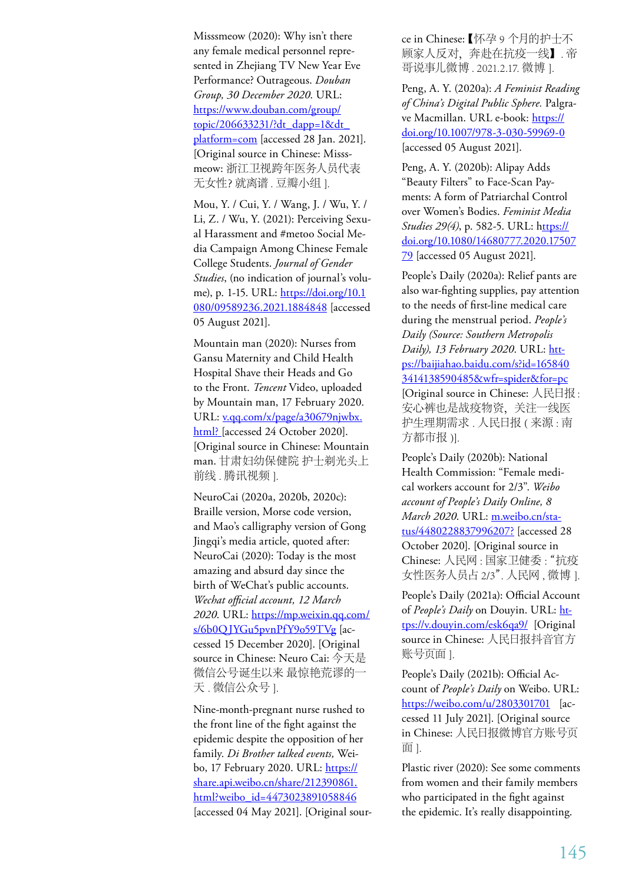Misssmeow (2020): Why isn't there any female medical personnel represented in Zhejiang TV New Year Eve Performance? Outrageous. *Douban Group, 30 December 2020*. URL: https://www.douban.com/group/ topic/206633231/?dt\_dapp=1&dt platform=com [accessed 28 Jan. 2021]. [Original source in Chinese: Misssmeow: 浙江卫视跨年医务人员代表 无女性?就离谱 . 豆瓣小组 ].

Mou, Y. / Cui, Y. / Wang, J. / Wu, Y. / Li, Z. / Wu, Y. (2021): Perceiving Sexual Harassment and #metoo Social Media Campaign Among Chinese Female College Students. *Journal of Gender Studies*, (no indication of journal's volume), p. 1-15. URL: https://doi.org/10.1 080/09589236.2021.1884848 [accessed 05 August 2021].

Mountain man (2020): Nurses from Gansu Maternity and Child Health Hospital Shave their Heads and Go to the Front. *Tencent* Video, uploaded by Mountain man, 17 February 2020. URL: v.qq.com/x/page/a30679njwbx. html? [accessed 24 October 2020]. [Original source in Chinese: Mountain man. 甘肃妇幼保健院 护士剃光头上 前线. 腾讯视频 ].

NeuroCai (2020a, 2020b, 2020c): Braille version, Morse code version, and Mao's calligraphy version of Gong Jingqi's media article, quoted after: NeuroCai (2020): Today is the most amazing and absurd day since the birth of WeChat's public accounts. *Wechat official account, 12 March 2020*. URL: https://mp.weixin.qq.com/ s/6b0QJYGu5pvnPfY9o59TVg [accessed 15 December 2020]. [Original source in Chinese: Neuro Cai: 今天是 微信公号诞生以来 最惊艳荒谬的一 天 . 微信公众号 ].

Nine-month-pregnant nurse rushed to the front line of the fight against the epidemic despite the opposition of her family. *Di Brother talked events,* Weibo, 17 February 2020. URL: https:// share.api.weibo.cn/share/212390861. html?weibo\_id=4473023891058846 [accessed 04 May 2021]. [Original source in Chinese:【怀孕 9 个月的护士不 顾家人反对,奔赴在抗疫一线】. 帝 哥说事儿微博 . 2021.2.17. 微博 ].

Peng, A. Y. (2020a): *A Feminist Reading of China's Digital Public Sphere.* Palgrave Macmillan. URL e-book: https:// doi.org/10.1007/978-3-030-59969-0 [accessed 05 August 2021].

Peng, A. Y. (2020b): Alipay Adds "Beauty Filters" to Face-Scan Payments: A form of Patriarchal Control over Women's Bodies. *Feminist Media Studies 29(4)*, p. 582-5. URL: https:// doi.org/10.1080/14680777.2020.17507 79 [accessed 05 August 2021].

People's Daily (2020a): Relief pants are also war-fighting supplies, pay attention to the needs of first-line medical care during the menstrual period. *People's Daily (Source: Southern Metropolis Daily), 13 February 2020*. URL: https://baijiahao.baidu.com/s?id=165840 3414138590485&wfr=spider&for=pc [Original source in Chinese: 人民日报 : 安心裤也是战疫物资,关注一线医 护生理期需求 . 人民日报 ( 来源 : 南 方都市报 )].

People's Daily (2020b): National Health Commission: "Female medical workers account for 2/3". *Weibo account of People's Daily Online, 8 March 2020*. URL: m.weibo.cn/status/4480228837996207? [accessed 28 October 2020]. [Original source in Chinese: 人民网 : 国家卫健委 : "抗疫 女性医务人员占 2/3". 人民网 , 微博 ].

People's Daily (2021a): Official Account of *People's Daily* on Douyin. URL: https://v.douyin.com/esk6qa9/ [Original source in Chinese: 人民日报抖音官方 账号页面 ].

People's Daily (2021b): Official Account of *People's Daily* on Weibo. URL: https://weibo.com/u/2803301701 [accessed 11 July 2021]. [Original source in Chinese: 人民日报微博官方账号页 面 ].

Plastic river (2020): See some comments from women and their family members who participated in the fight against the epidemic. It's really disappointing.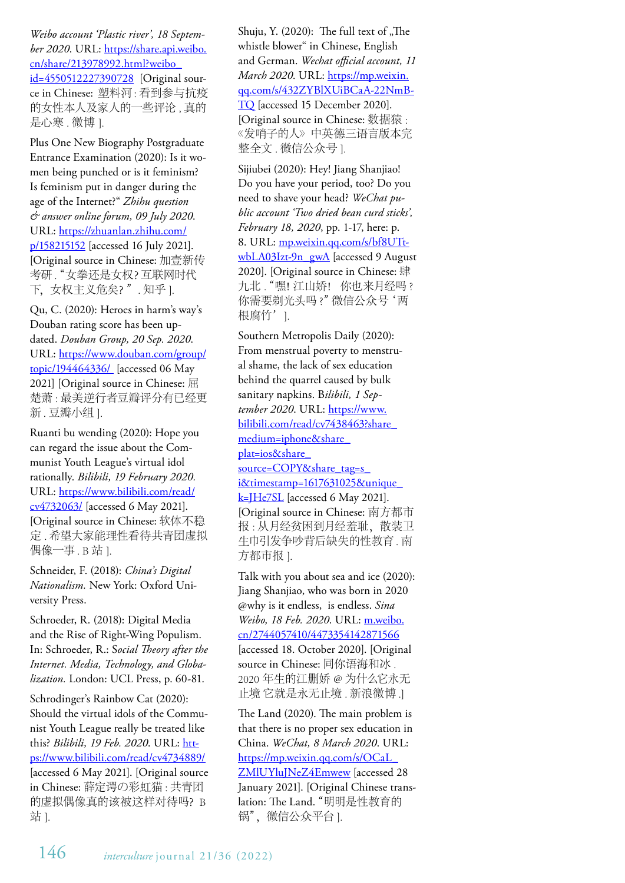*Weibo account 'Plastic river', 18 September 2020*. URL: https://share.api.weibo. cn/share/213978992.html?weibo\_ id=4550512227390728 [Original source in Chinese: 塑料河 : 看到参与抗疫 的女性本人及家人的一些评论 , 真的 是心寒 . 微博 1.

Plus One New Biography Postgraduate Entrance Examination (2020): Is it women being punched or is it feminism? Is feminism put in danger during the age of the Internet?" *Zhihu question & answer online forum, 09 July 2020*. URL: https://zhuanlan.zhihu.com/ p/158215152 [accessed 16 July 2021]. [Original source in Chinese: 加壹新传 考研. "女拳还是女权? 互联网时代 下,女权主义危矣?". 知乎 ].

Qu, C. (2020): Heroes in harm's way's Douban rating score has been updated. *Douban Group, 20 Sep. 2020*. URL: https://www.douban.com/group/ topic/194464336/ [accessed 06 May 2021] [Original source in Chinese: 屈 楚萧 : 最美逆行者豆瓣评分有已经更 新. 豆瓣小组 1.

Ruanti bu wending (2020): Hope you can regard the issue about the Communist Youth League's virtual idol rationally. *Bilibili, 19 February 2020.* URL: https://www.bilibili.com/read/ cv4732063/ [accessed 6 May 2021]. [Original source in Chinese: 软体不稳 定 . 希望大家能理性看待共青团虚拟 偶像一事 . B 站 ].

Schneider, F. (2018): *China's Digital Nationalism.* New York: Oxford University Press.

Schroeder, R. (2018): Digital Media and the Rise of Right-Wing Populism. In: Schroeder, R.: S*ocial Theory after the Internet. Media, Technology, and Globalization.* London: UCL Press, p. 60-81.

Schrodinger's Rainbow Cat (2020): Should the virtual idols of the Communist Youth League really be treated like this? *Bilibili, 19 Feb. 2020*. URL: https://www.bilibili.com/read/cv4734889/ [accessed 6 May 2021]. [Original source in Chinese: 薛定谔の彩虹猫 : 共青团 的虚拟偶像真的该被这样对待吗? B 站 ].

Shuju, Y. (2020): The full text of "The whistle blower" in Chinese, English and German. *Wechat official account, 11 March 2020*. URL: https://mp.weixin. qq.com/s/432ZYBlXUiBCaA-22NmB-TQ [accessed 15 December 2020]. [Original source in Chinese: 数据猿 : 《发哨子的人》中英德三语言版本完 整全文 . 微信公众号 ].

Sijiubei (2020): Hey! Jiang Shanjiao! Do you have your period, too? Do you need to shave your head? *WeChat public account 'Two dried bean curd sticks', February 18, 2020*, pp. 1-17, here: p. 8. URL: mp.weixin.qq.com/s/bf8UTtwbLA03Izt-9n\_gwA [accessed 9 August 2020]. [Original source in Chinese: 肆 九北. "嘿! 江山娇! 你也来月经吗? 你需要剃光头吗 ?" 微信公众号 '两 根腐竹' 1.

Southern Metropolis Daily (2020): From menstrual poverty to menstrual shame, the lack of sex education behind the quarrel caused by bulk sanitary napkins. B*ilibili, 1 September 2020*. URL: https://www. bilibili.com/read/cv7438463?share\_ medium=iphone&share\_ plat=ios&share\_ source=COPY&share\_tag=s i&timestamp=1617631025&unique  $k=$  He7SL [accessed 6 May 2021]. [Original source in Chinese: 南方都市 报:从月经贫困到月经羞耻,散装卫 生巾引发争吵背后缺失的性教育 . 南 方都市报 ].

Talk with you about sea and ice (2020): Jiang Shanjiao, who was born in 2020 @why is it endless, is endless. *Sina Weibo, 18 Feb. 2020*. URL: m.weibo. cn/2744057410/4473354142871566 [accessed 18. October 2020]. [Original source in Chinese: 同你语海和冰 . 2020 年生的江删娇 @ 为什么它永无 止境 它就是永无止境 . 新浪微博 .]

The Land (2020). The main problem is that there is no proper sex education in China. *WeChat, 8 March 2020*. URL: https://mp.weixin.qq.com/s/OCaL\_ ZMlUYluJNeZ4Emwew [accessed 28 January 2021]. [Original Chinese translation: The Land. "明明是性教育的 锅", 微信公众平台 ].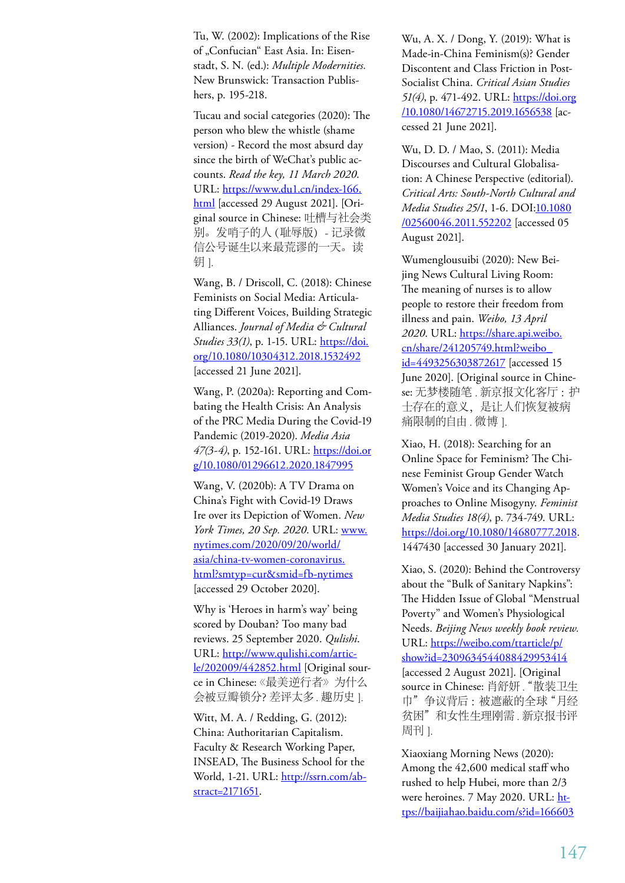Tu, W. (2002): Implications of the Rise of "Confucian" East Asia. In: Eisenstadt, S. N. (ed.): *Multiple Modernities.* New Brunswick: Transaction Publishers, p. 195-218.

Tucau and social categories (2020): The person who blew the whistle (shame version) - Record the most absurd day since the birth of WeChat's public accounts. *Read the key, 11 March 2020*. URL: https://www.du1.cn/index-166. html [accessed 29 August 2021]. [Original source in Chinese: 吐槽与社会类 别。发哨子的人(耻辱版)- 记录微 信公号诞生以来最荒谬的一天。读 钥 ].

Wang, B. / Driscoll, C. (2018): Chinese Feminists on Social Media: Articulating Different Voices, Building Strategic Alliances. *Journal of Media & Cultural Studies 33(1)*, p. 1-15. URL: https://doi. org/10.1080/10304312.2018.1532492 [accessed 21 June 2021].

Wang, P. (2020a): Reporting and Combating the Health Crisis: An Analysis of the PRC Media During the Covid-19 Pandemic (2019-2020). *Media Asia 47(3-4)*, p. 152-161. URL: https://doi.or g/10.1080/01296612.2020.1847995

Wang, V. (2020b): A TV Drama on China's Fight with Covid-19 Draws Ire over its Depiction of Women. *New York Times, 20 Sep. 2020*. URL: www. nytimes.com/2020/09/20/world/ asia/china-tv-women-coronavirus. html?smtyp=cur&smid=fb-nytimes [accessed 29 October 2020].

Why is 'Heroes in harm's way' being scored by Douban? Too many bad reviews. 25 September 2020. *Qulishi*. URL: http://www.qulishi.com/article/202009/442852.html [Original source in Chinese:《最美逆行者》为什么 会被豆瓣锁分?差评太多 . 趣历史 ].

Witt, M. A. / Redding, G. (2012): China: Authoritarian Capitalism. Faculty & Research Working Paper, INSEAD, The Business School for the World, 1-21. URL: http://ssrn.com/abstract=2171651.

Wu, A. X. / Dong, Y. (2019): What is Made-in-China Feminism(s)? Gender Discontent and Class Friction in Post-Socialist China. *Critical Asian Studies 51(4)*, p. 471-492. URL: https://doi.org /10.1080/14672715.2019.1656538 [accessed 21 June 2021].

Wu, D. D. / Mao, S. (2011): Media Discourses and Cultural Globalisation: A Chinese Perspective (editorial). *Critical Arts: South-North Cultural and Media Studies 25/1*, 1-6. DOI:10.1080 /02560046.2011.552202 [accessed 05 August 2021].

Wumenglousuibi (2020): New Beijing News Cultural Living Room: The meaning of nurses is to allow people to restore their freedom from illness and pain. *Weibo, 13 April 2020*. URL: https://share.api.weibo. cn/share/241205749.html?weibo\_ id=4493256303872617 [accessed 15 June 2020]. [Original source in Chinese: 无梦楼随笔 . 新京报文化客厅 :护 士存在的意义,是让人们恢复被病 痛限制的自由 . 微博 ].

Xiao, H. (2018): Searching for an Online Space for Feminism? The Chinese Feminist Group Gender Watch Women's Voice and its Changing Approaches to Online Misogyny. *Feminist Media Studies 18(4)*, p. 734-749. URL: https://doi.org/10.1080/14680777.2018. 1447430 [accessed 30 January 2021].

Xiao, S. (2020): Behind the Controversy about the "Bulk of Sanitary Napkins": The Hidden Issue of Global "Menstrual Poverty" and Women's Physiological Needs. *Beijing News weekly book review.* URL: https://weibo.com/ttarticle/p/ show?id=2309634544088429953414 [accessed 2 August 2021]. [Original source in Chinese: 肖舒妍 . "散装卫生 巾"争议背后 :被遮蔽的全球"月经 贫困"和女性生理刚需 . 新京报书评 周刊 1.

Xiaoxiang Morning News (2020): Among the 42,600 medical staff who rushed to help Hubei, more than 2/3 were heroines. 7 May 2020. URL: https://baijiahao.baidu.com/s?id=166603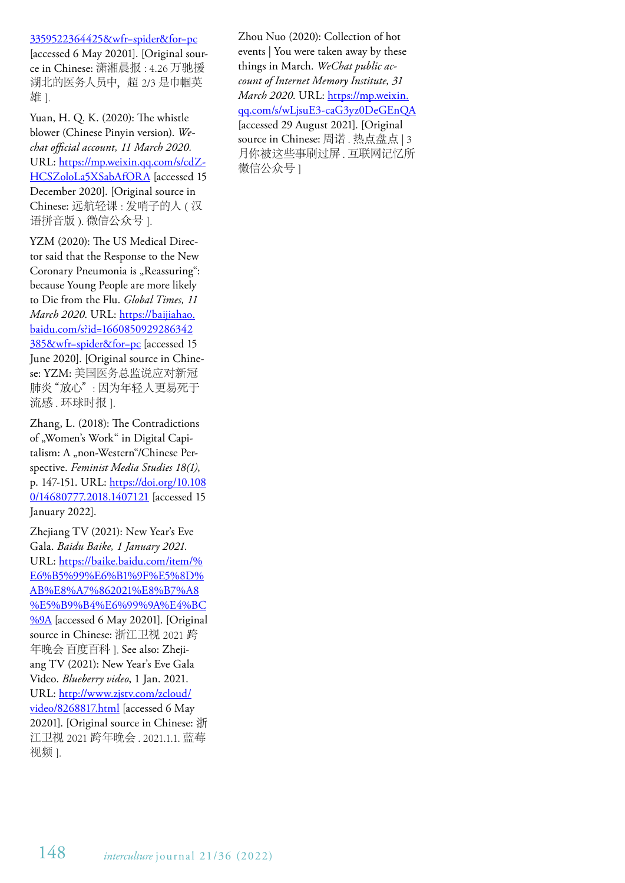#### 3359522364425&wfr=spider&for=pc

[accessed 6 May 20201]. [Original source in Chinese: 潇湘晨报 : 4.26 万驰援 湖北的医务人员中,超 2/3 是巾帼英 雄 ].

Yuan, H. Q. K. (2020): The whistle blower (Chinese Pinyin version). *Wechat official account, 11 March 2020.* URL: https://mp.weixin.qq.com/s/cdZ-HCSZoloLa5XSabAfORA [accessed 15 December 2020]. [Original source in Chinese: 远航轻课 : 发哨子的人 ( 汉 语拼音版 ). 微信公众号 ].

YZM (2020): The US Medical Director said that the Response to the New Coronary Pneumonia is "Reassuring": because Young People are more likely to Die from the Flu. *Global Times, 11 March 2020*. URL: https://baijiahao. baidu.com/s?id=1660850929286342 385&wfr=spider&for=pc [accessed 15 June 2020]. [Original source in Chinese: YZM: 美国医务总监说应对新冠 肺炎"放心": 因为年轻人更易死于 流感 . 环球时报 ].

Zhang, L. (2018): The Contradictions of "Women's Work" in Digital Capitalism: A "non-Western"/Chinese Perspective. *Feminist Media Studies 18(1)*, p. 147-151. URL: https://doi.org/10.108 0/14680777.2018.1407121 [accessed 15 January 2022].

Zhejiang TV (2021): New Year's Eve Gala. *Baidu Baike, 1 January 2021.* URL: https://baike.baidu.com/item/% E6%B5%99%E6%B1%9F%E5%8D% AB%E8%A7%862021%E8%B7%A8 %E5%B9%B4%E6%99%9A%E4%BC %9A [accessed 6 May 20201]. [Original] source in Chinese: 浙江卫视 2021 跨 年晚会 百度百科 ]. See also: Zhejiang TV (2021): New Year's Eve Gala Video. *Blueberry video*, 1 Jan. 2021. URL: http://www.zjstv.com/zcloud/ video/8268817.html [accessed 6 May 20201]. [Original source in Chinese: 浙 江卫视 2021 跨年晚会 . 2021.1.1. 蓝莓 视频 ].

Zhou Nuo (2020): Collection of hot events | You were taken away by these things in March. *WeChat public account of Internet Memory Institute, 31 March 2020*. URL: https://mp.weixin. qq.com/s/wLjsuE3-caG3yz0DeGEnQA [accessed 29 August 2021]. [Original source in Chinese: 周诺 . 热点盘点 | 3 月你被这些事刷过屏 . 互联网记忆所 微信公众号 ]